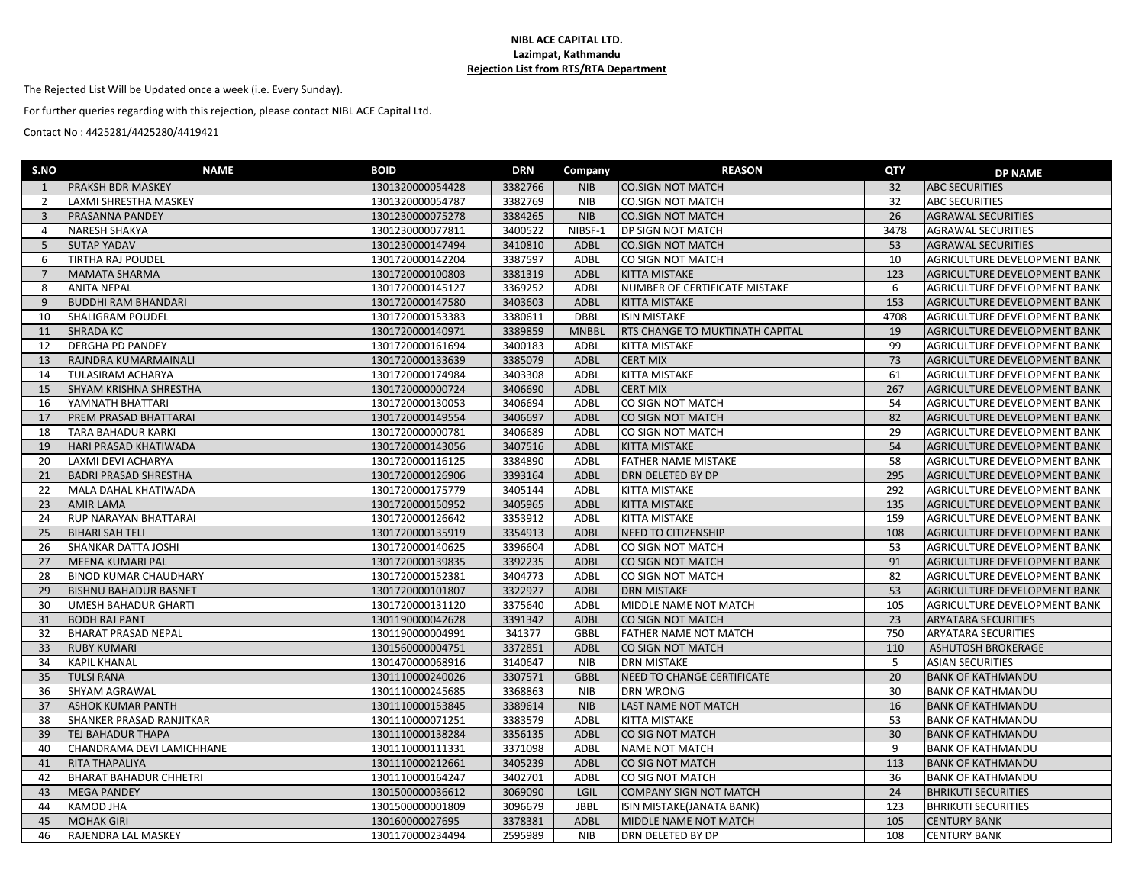## **NIBL ACE CAPITAL LTD. Lazimpat, Kathmandu Rejection List from RTS/RTA Department**

The Rejected List Will be Updated once a week (i.e. Every Sunday).

For further queries regarding with this rejection, please contact NIBL ACE Capital Ltd.

Contact No : 4425281/4425280/4419421

| S.NO           | <b>NAME</b>                   | <b>BOID</b>      | <b>DRN</b> | Company      | <b>REASON</b>                   | QTY             | <b>DP NAME</b>                      |
|----------------|-------------------------------|------------------|------------|--------------|---------------------------------|-----------------|-------------------------------------|
| 1              | PRAKSH BDR MASKEY             | 1301320000054428 | 3382766    | <b>NIB</b>   | <b>CO.SIGN NOT MATCH</b>        | 32              | <b>ABC SECURITIES</b>               |
| $\overline{2}$ | LAXMI SHRESTHA MASKEY         | 1301320000054787 | 3382769    | <b>NIB</b>   | <b>CO.SIGN NOT MATCH</b>        | 32              | <b>ABC SECURITIES</b>               |
| $\overline{3}$ | PRASANNA PANDEY               | 1301230000075278 | 3384265    | <b>NIB</b>   | <b>CO.SIGN NOT MATCH</b>        | 26              | <b>AGRAWAL SECURITIES</b>           |
| $\overline{4}$ | NARESH SHAKYA                 | 1301230000077811 | 3400522    | NIBSF-1      | DP SIGN NOT MATCH               | 3478            | <b>AGRAWAL SECURITIES</b>           |
| 5              | <b>SUTAP YADAV</b>            | 1301230000147494 | 3410810    | <b>ADBL</b>  | <b>CO.SIGN NOT MATCH</b>        | 53              | <b>AGRAWAL SECURITIES</b>           |
| 6              | TIRTHA RAJ POUDEL             | 1301720000142204 | 3387597    | <b>ADBL</b>  | CO SIGN NOT MATCH               | 10              | AGRICULTURE DEVELOPMENT BANK        |
| $\overline{7}$ | <b>MAMATA SHARMA</b>          | 1301720000100803 | 3381319    | <b>ADBL</b>  | KITTA MISTAKE                   | 123             | AGRICULTURE DEVELOPMENT BANK        |
| 8              | <b>ANITA NEPAL</b>            | 1301720000145127 | 3369252    | ADBL         | NUMBER OF CERTIFICATE MISTAKE   | 6               | AGRICULTURE DEVELOPMENT BANK        |
| 9              | <b>BUDDHI RAM BHANDARI</b>    | 1301720000147580 | 3403603    | <b>ADBL</b>  | KITTA MISTAKE                   | 153             | AGRICULTURE DEVELOPMENT BANK        |
| 10             | <b>SHALIGRAM POUDEL</b>       | 1301720000153383 | 3380611    | <b>DBBL</b>  | <b>ISIN MISTAKE</b>             | 4708            | AGRICULTURE DEVELOPMENT BANK        |
| 11             | <b>SHRADA KC</b>              | 1301720000140971 | 3389859    | <b>MNBBL</b> | RTS CHANGE TO MUKTINATH CAPITAL | 19              | AGRICULTURE DEVELOPMENT BANK        |
| 12             | DERGHA PD PANDEY              | 1301720000161694 | 3400183    | ADBL         | KITTA MISTAKE                   | 99              | AGRICULTURE DEVELOPMENT BANK        |
| 13             | RAJNDRA KUMARMAINALI          | 1301720000133639 | 3385079    | ADBL         | <b>CERT MIX</b>                 | 73              | AGRICULTURE DEVELOPMENT BANK        |
| 14             | TULASIRAM ACHARYA             | 1301720000174984 | 3403308    | ADBL         | KITTA MISTAKE                   | 61              | AGRICULTURE DEVELOPMENT BANK        |
| 15             | SHYAM KRISHNA SHRESTHA        | 1301720000000724 | 3406690    | <b>ADBL</b>  | <b>CERT MIX</b>                 | 267             | AGRICULTURE DEVELOPMENT BANK        |
| 16             | YAMNATH BHATTARI              | 1301720000130053 | 3406694    | ADBL         | CO SIGN NOT MATCH               | 54              | AGRICULTURE DEVELOPMENT BANK        |
| 17             | PREM PRASAD BHATTARAI         | 1301720000149554 | 3406697    | <b>ADBL</b>  | CO SIGN NOT MATCH               | 82              | AGRICULTURE DEVELOPMENT BANK        |
| 18             | <b>TARA BAHADUR KARKI</b>     | 1301720000000781 | 3406689    | ADBL         | CO SIGN NOT MATCH               | 29              | AGRICULTURE DEVELOPMENT BANK        |
| 19             | HARI PRASAD KHATIWADA         | 1301720000143056 | 3407516    | ADBL         | KITTA MISTAKE                   | 54              | AGRICULTURE DEVELOPMENT BANK        |
| 20             | LAXMI DEVI ACHARYA            | 1301720000116125 | 3384890    | ADBL         | FATHER NAME MISTAKE             | 58              | AGRICULTURE DEVELOPMENT BANK        |
| 21             | <b>BADRI PRASAD SHRESTHA</b>  | 1301720000126906 | 3393164    | <b>ADBL</b>  | DRN DELETED BY DP               | 295             | AGRICULTURE DEVELOPMENT BANK        |
| 22             | MALA DAHAL KHATIWADA          | 1301720000175779 | 3405144    | <b>ADBL</b>  | KITTA MISTAKE                   | 292             | AGRICULTURE DEVELOPMENT BANK        |
| 23             | <b>AMIR LAMA</b>              | 1301720000150952 | 3405965    | <b>ADBL</b>  | <b>KITTA MISTAKE</b>            | 135             | AGRICULTURE DEVELOPMENT BANK        |
| 24             | RUP NARAYAN BHATTARAI         | 1301720000126642 | 3353912    | ADBL         | KITTA MISTAKE                   | 159             | AGRICULTURE DEVELOPMENT BANK        |
| 25             | <b>BIHARI SAH TELI</b>        | 1301720000135919 | 3354913    | <b>ADBL</b>  | NEED TO CITIZENSHIP             | 108             | AGRICULTURE DEVELOPMENT BANK        |
| 26             | <b>SHANKAR DATTA JOSHI</b>    | 1301720000140625 | 3396604    | ADBL         | CO SIGN NOT MATCH               | 53              | AGRICULTURE DEVELOPMENT BANK        |
| 27             | <b>MEENA KUMARI PAL</b>       | 1301720000139835 | 3392235    | <b>ADBL</b>  | CO SIGN NOT MATCH               | 91              | AGRICULTURE DEVELOPMENT BANK        |
| 28             | <b>BINOD KUMAR CHAUDHARY</b>  | 1301720000152381 | 3404773    | ADBL         | CO SIGN NOT MATCH               | 82              | <b>AGRICULTURE DEVELOPMENT BANK</b> |
| 29             | <b>BISHNU BAHADUR BASNET</b>  | 1301720000101807 | 3322927    | ADBL         | <b>DRN MISTAKE</b>              | 53              | AGRICULTURE DEVELOPMENT BANK        |
| 30             | <b>UMESH BAHADUR GHARTI</b>   | 1301720000131120 | 3375640    | <b>ADBL</b>  | MIDDLE NAME NOT MATCH           | 105             | AGRICULTURE DEVELOPMENT BANK        |
| 31             | <b>BODH RAJ PANT</b>          | 1301190000042628 | 3391342    | ADBL         | CO SIGN NOT MATCH               | $\overline{23}$ | ARYATARA SECURITIES                 |
| 32             | <b>BHARAT PRASAD NEPAL</b>    | 1301190000004991 | 341377     | GBBL         | FATHER NAME NOT MATCH           | 750             | <b>ARYATARA SECURITIES</b>          |
| 33             | <b>RUBY KUMARI</b>            | 1301560000004751 | 3372851    | <b>ADBL</b>  | CO SIGN NOT MATCH               | 110             | <b>ASHUTOSH BROKERAGE</b>           |
| 34             | <b>KAPIL KHANAL</b>           | 1301470000068916 | 3140647    | <b>NIB</b>   | <b>DRN MISTAKE</b>              | 5               | <b>ASIAN SECURITIES</b>             |
| 35             | <b>TULSI RANA</b>             | 1301110000240026 | 3307571    | <b>GBBL</b>  | NEED TO CHANGE CERTIFICATE      | 20              | <b>BANK OF KATHMANDU</b>            |
| 36             | <b>SHYAM AGRAWAL</b>          | 1301110000245685 | 3368863    | <b>NIB</b>   | <b>DRN WRONG</b>                | 30              | <b>BANK OF KATHMANDU</b>            |
| 37             | <b>ASHOK KUMAR PANTH</b>      | 1301110000153845 | 3389614    | <b>NIB</b>   | LAST NAME NOT MATCH             | 16              | <b>BANK OF KATHMANDU</b>            |
| 38             | SHANKER PRASAD RANJITKAR      | 1301110000071251 | 3383579    | <b>ADBL</b>  | KITTA MISTAKE                   | 53              | <b>BANK OF KATHMANDU</b>            |
| 39             | <b>TEJ BAHADUR THAPA</b>      | 1301110000138284 | 3356135    | <b>ADBL</b>  | CO SIG NOT MATCH                | 30              | <b>BANK OF KATHMANDU</b>            |
| 40             | CHANDRAMA DEVI LAMICHHANE     | 1301110000111331 | 3371098    | <b>ADBL</b>  | NAME NOT MATCH                  | 9               | <b>BANK OF KATHMANDU</b>            |
| 41             | RITA THAPALIYA                | 1301110000212661 | 3405239    | <b>ADBL</b>  | CO SIG NOT MATCH                | 113             | <b>BANK OF KATHMANDU</b>            |
| 42             | <b>BHARAT BAHADUR CHHETRI</b> | 1301110000164247 | 3402701    | ADBL         | CO SIG NOT MATCH                | 36              | <b>BANK OF KATHMANDU</b>            |
| 43             | <b>MEGA PANDEY</b>            | 1301500000036612 | 3069090    | LGIL         | <b>COMPANY SIGN NOT MATCH</b>   | 24              | <b>BHRIKUTI SECURITIES</b>          |
| 44             | <b>KAMOD JHA</b>              | 1301500000001809 | 3096679    | <b>JBBL</b>  | ISIN MISTAKE(JANATA BANK)       | 123             | <b>BHRIKUTI SECURITIES</b>          |
| 45             | <b>MOHAK GIRI</b>             | 130160000027695  | 3378381    | <b>ADBL</b>  | MIDDLE NAME NOT MATCH           | 105             | <b>CENTURY BANK</b>                 |
| 46             | RAJENDRA LAL MASKEY           | 1301170000234494 | 2595989    | <b>NIB</b>   | DRN DELETED BY DP               | 108             | <b>CENTURY BANK</b>                 |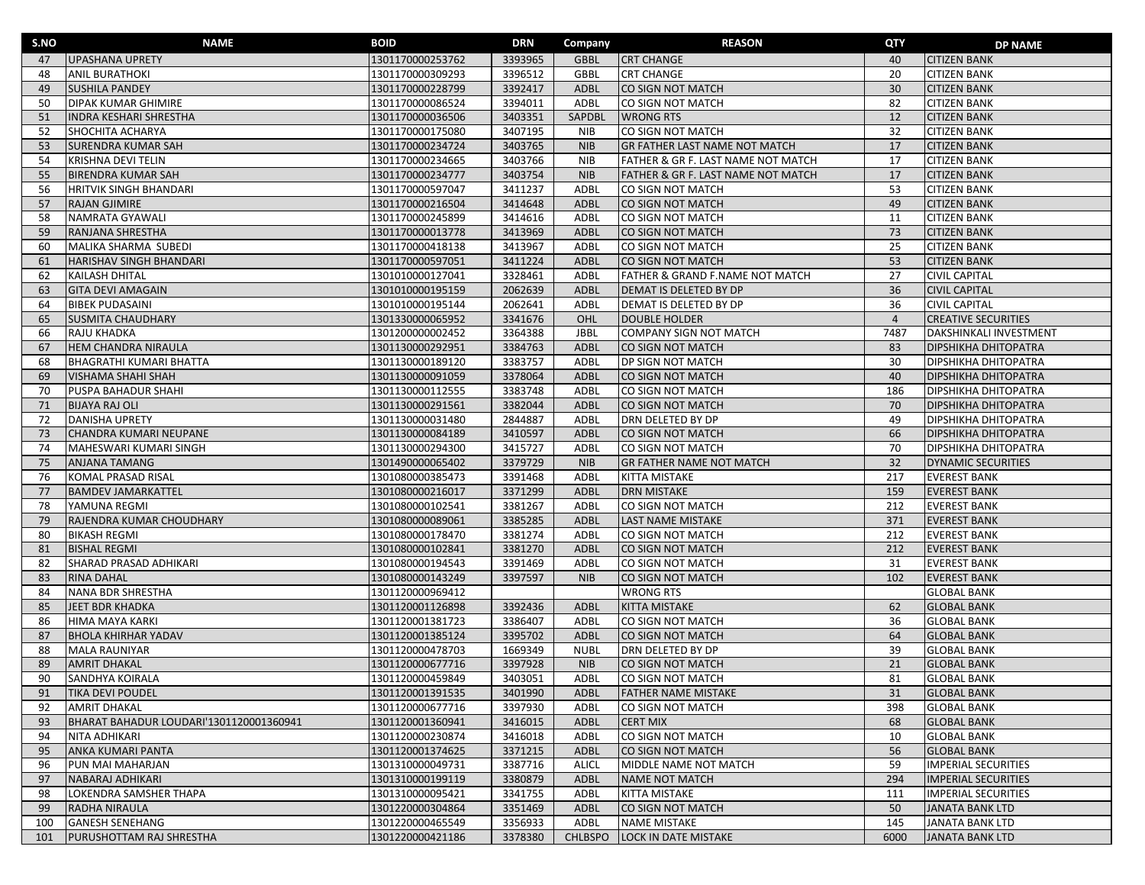| S.NO | <b>NAME</b>                             | <b>BOID</b>      | DRN     | Company        | <b>REASON</b>                        | QTY            | <b>DP NAME</b>              |
|------|-----------------------------------------|------------------|---------|----------------|--------------------------------------|----------------|-----------------------------|
| 47   | <b>UPASHANA UPRETY</b>                  | 1301170000253762 | 3393965 | <b>GBBL</b>    | <b>CRT CHANGE</b>                    | 40             | <b>CITIZEN BANK</b>         |
| 48   | <b>ANIL BURATHOKI</b>                   | 1301170000309293 | 3396512 | <b>GBBL</b>    | <b>CRT CHANGE</b>                    | 20             | <b>CITIZEN BANK</b>         |
| 49   | <b>SUSHILA PANDEY</b>                   | 1301170000228799 | 3392417 | ADBL           | CO SIGN NOT MATCH                    | 30             | <b>CITIZEN BANK</b>         |
| 50   | <b>DIPAK KUMAR GHIMIRE</b>              | 1301170000086524 | 3394011 | ADBL           | CO SIGN NOT MATCH                    | 82             | <b>CITIZEN BANK</b>         |
| 51   | <b>INDRA KESHARI SHRESTHA</b>           | 1301170000036506 | 3403351 | SAPDBL         | <b>WRONG RTS</b>                     | 12             | <b>CITIZEN BANK</b>         |
| 52   | SHOCHITA ACHARYA                        | 1301170000175080 | 3407195 | <b>NIB</b>     | CO SIGN NOT MATCH                    | 32             | <b>CITIZEN BANK</b>         |
| 53   | <b>SURENDRA KUMAR SAH</b>               | 1301170000234724 | 3403765 | <b>NIB</b>     | <b>GR FATHER LAST NAME NOT MATCH</b> | 17             | <b>CITIZEN BANK</b>         |
| 54   | KRISHNA DEVI TELIN                      | 1301170000234665 | 3403766 | <b>NIB</b>     | FATHER & GR F. LAST NAME NOT MATCH   | 17             | <b>CITIZEN BANK</b>         |
| 55   | <b>BIRENDRA KUMAR SAH</b>               | 1301170000234777 | 3403754 | <b>NIB</b>     | FATHER & GR F. LAST NAME NOT MATCH   | 17             | <b>CITIZEN BANK</b>         |
| 56   | <b>HRITVIK SINGH BHANDARI</b>           | 1301170000597047 | 3411237 | ADBL           | CO SIGN NOT MATCH                    | 53             | <b>CITIZEN BANK</b>         |
| 57   | <b>RAJAN GJIMIRE</b>                    | 1301170000216504 | 3414648 | <b>ADBL</b>    | CO SIGN NOT MATCH                    | 49             | <b>CITIZEN BANK</b>         |
| 58   | NAMRATA GYAWALI                         | 1301170000245899 | 3414616 | ADBL           | CO SIGN NOT MATCH                    | 11             | <b>CITIZEN BANK</b>         |
| 59   | RANJANA SHRESTHA                        | 1301170000013778 | 3413969 | ADBL           | CO SIGN NOT MATCH                    | 73             | <b>CITIZEN BANK</b>         |
| 60   | MALIKA SHARMA SUBEDI                    | 1301170000418138 | 3413967 | ADBL           | CO SIGN NOT MATCH                    | 25             | <b>CITIZEN BANK</b>         |
| 61   | HARISHAV SINGH BHANDARI                 | 1301170000597051 | 3411224 | ADBL           | CO SIGN NOT MATCH                    | 53             | <b>CITIZEN BANK</b>         |
| 62   | <b>KAILASH DHITAL</b>                   | 1301010000127041 | 3328461 | ADBL           | FATHER & GRAND F.NAME NOT MATCH      | 27             | <b>CIVIL CAPITAL</b>        |
| 63   | <b>GITA DEVI AMAGAIN</b>                | 1301010000195159 | 2062639 | ADBL           | DEMAT IS DELETED BY DP               | 36             | <b>CIVIL CAPITAL</b>        |
| 64   | <b>BIBEK PUDASAINI</b>                  | 1301010000195144 | 2062641 | ADBL           | DEMAT IS DELETED BY DP               | 36             | <b>CIVIL CAPITAL</b>        |
| 65   | <b>SUSMITA CHAUDHARY</b>                | 1301330000065952 | 3341676 | OHL            | <b>DOUBLE HOLDER</b>                 | $\overline{4}$ | <b>CREATIVE SECURITIES</b>  |
| 66   | RAJU KHADKA                             | 1301200000002452 | 3364388 | <b>JBBL</b>    | COMPANY SIGN NOT MATCH               | 7487           | DAKSHINKALI INVESTMENT      |
| 67   | <b>HEM CHANDRA NIRAULA</b>              | 1301130000292951 | 3384763 | ADBL           | CO SIGN NOT MATCH                    | 83             | <b>DIPSHIKHA DHITOPATRA</b> |
| 68   | <b>BHAGRATHI KUMARI BHATTA</b>          | 1301130000189120 | 3383757 | ADBL           | <b>DP SIGN NOT MATCH</b>             | 30             | <b>DIPSHIKHA DHITOPATRA</b> |
| 69   | <b>VISHAMA SHAHI SHAH</b>               | 1301130000091059 | 3378064 | ADBL           | CO SIGN NOT MATCH                    | 40             | <b>DIPSHIKHA DHITOPATRA</b> |
| 70   | PUSPA BAHADUR SHAHI                     | 1301130000112555 | 3383748 | ADBL           | CO SIGN NOT MATCH                    | 186            | <b>DIPSHIKHA DHITOPATRA</b> |
| 71   | <b>BIJAYA RAJ OLI</b>                   | 1301130000291561 | 3382044 | ADBL           | CO SIGN NOT MATCH                    | 70             | <b>DIPSHIKHA DHITOPATRA</b> |
| 72   | <b>DANISHA UPRETY</b>                   | 1301130000031480 | 2844887 | ADBL           | <b>DRN DELETED BY DP</b>             | 49             | <b>DIPSHIKHA DHITOPATRA</b> |
| 73   | CHANDRA KUMARI NEUPANE                  | 1301130000084189 | 3410597 | ADBL           | CO SIGN NOT MATCH                    | 66             | <b>DIPSHIKHA DHITOPATRA</b> |
| 74   | MAHESWARI KUMARI SINGH                  | 1301130000294300 | 3415727 | ADBL           | CO SIGN NOT MATCH                    | 70             | <b>DIPSHIKHA DHITOPATRA</b> |
| 75   | <b>ANJANA TAMANG</b>                    | 1301490000065402 | 3379729 | <b>NIB</b>     | <b>GR FATHER NAME NOT MATCH</b>      | 32             | <b>DYNAMIC SECURITIES</b>   |
| 76   | KOMAL PRASAD RISAL                      | 1301080000385473 | 3391468 | ADBL           | KITTA MISTAKE                        | 217            | <b>EVEREST BANK</b>         |
| 77   | <b>BAMDEV JAMARKATTEL</b>               | 1301080000216017 | 3371299 | ADBL           | <b>DRN MISTAKE</b>                   | 159            | <b>EVEREST BANK</b>         |
| 78   | YAMUNA REGMI                            | 1301080000102541 | 3381267 | ADBL           | CO SIGN NOT MATCH                    | 212            | <b>EVEREST BANK</b>         |
| 79   | RAJENDRA KUMAR CHOUDHARY                | 1301080000089061 | 3385285 | ADBL           | <b>LAST NAME MISTAKE</b>             | 371            | <b>EVEREST BANK</b>         |
| 80   | <b>BIKASH REGMI</b>                     | 1301080000178470 | 3381274 | ADBL           | CO SIGN NOT MATCH                    | 212            | <b>EVEREST BANK</b>         |
| 81   | <b>BISHAL REGMI</b>                     | 1301080000102841 | 3381270 | <b>ADBL</b>    | CO SIGN NOT MATCH                    | 212            | <b>EVEREST BANK</b>         |
| 82   | SHARAD PRASAD ADHIKARI                  | 1301080000194543 | 3391469 | ADBL           | CO SIGN NOT MATCH                    | 31             | <b>EVEREST BANK</b>         |
| 83   | <b>RINA DAHAL</b>                       | 1301080000143249 | 3397597 | <b>NIB</b>     | CO SIGN NOT MATCH                    | 102            | <b>EVEREST BANK</b>         |
| 84   | <b>NANA BDR SHRESTHA</b>                | 1301120000969412 |         |                | <b>WRONG RTS</b>                     |                | <b>GLOBAL BANK</b>          |
| 85   | JEET BDR KHADKA                         | 1301120001126898 | 3392436 | ADBL           | <b>KITTA MISTAKE</b>                 | 62             | <b>GLOBAL BANK</b>          |
| 86   | HIMA MAYA KARKI                         | 1301120001381723 | 3386407 | ADBL           | CO SIGN NOT MATCH                    | 36             | <b>GLOBAL BANK</b>          |
| 87   | <b>BHOLA KHIRHAR YADAV</b>              | 1301120001385124 | 3395702 | ADBL           | CO SIGN NOT MATCH                    | 64             | <b>GLOBAL BANK</b>          |
| 88   | <b>MALA RAUNIYAR</b>                    | 1301120000478703 | 1669349 | <b>NUBL</b>    | DRN DELETED BY DP                    | 39             | <b>GLOBAL BANK</b>          |
| 89   | <b>AMRIT DHAKAL</b>                     | 1301120000677716 | 3397928 | <b>NIB</b>     | CO SIGN NOT MATCH                    | 21             | <b>GLOBAL BANK</b>          |
| 90   | <b>SANDHYA KOIRALA</b>                  | 1301120000459849 | 3403051 | ADBL           | CO SIGN NOT MATCH                    | 81             | <b>GLOBAL BANK</b>          |
| 91   | <b>TIKA DEVI POUDEL</b>                 | 1301120001391535 | 3401990 | ADBL           | <b>FATHER NAME MISTAKE</b>           | 31             | <b>GLOBAL BANK</b>          |
| 92   | <b>AMRIT DHAKAL</b>                     | 1301120000677716 | 3397930 | ADBL           | CO SIGN NOT MATCH                    | 398            | <b>GLOBAL BANK</b>          |
| 93   | BHARAT BAHADUR LOUDARI'1301120001360941 | 1301120001360941 | 3416015 | ADBL           | <b>CERT MIX</b>                      | 68             | <b>GLOBAL BANK</b>          |
| 94   | NITA ADHIKARI                           | 1301120000230874 | 3416018 | ADBL           | CO SIGN NOT MATCH                    | 10             | <b>GLOBAL BANK</b>          |
| 95   | <b>ANKA KUMARI PANTA</b>                | 1301120001374625 | 3371215 | ADBL           | CO SIGN NOT MATCH                    | 56             | <b>GLOBAL BANK</b>          |
| 96   | PUN MAI MAHARJAN                        | 1301310000049731 | 3387716 | <b>ALICL</b>   | MIDDLE NAME NOT MATCH                | 59             | <b>IMPERIAL SECURITIES</b>  |
| 97   | NABARAJ ADHIKARI                        | 1301310000199119 | 3380879 | ADBL           | <b>NAME NOT MATCH</b>                | 294            | <b>IMPERIAL SECURITIES</b>  |
| 98   | LOKENDRA SAMSHER THAPA                  | 1301310000095421 | 3341755 | ADBL           | KITTA MISTAKE                        | 111            | <b>IMPERIAL SECURITIES</b>  |
| 99   | <b>RADHA NIRAULA</b>                    | 1301220000304864 | 3351469 | ADBL           | CO SIGN NOT MATCH                    | 50             | <b>JANATA BANK LTD</b>      |
| 100  | <b>GANESH SENEHANG</b>                  | 1301220000465549 | 3356933 | ADBL           | <b>NAME MISTAKE</b>                  | 145            | JANATA BANK LTD             |
| 101  | PURUSHOTTAM RAJ SHRESTHA                | 1301220000421186 | 3378380 | <b>CHLBSPO</b> | LOCK IN DATE MISTAKE                 | 6000           | JANATA BANK LTD             |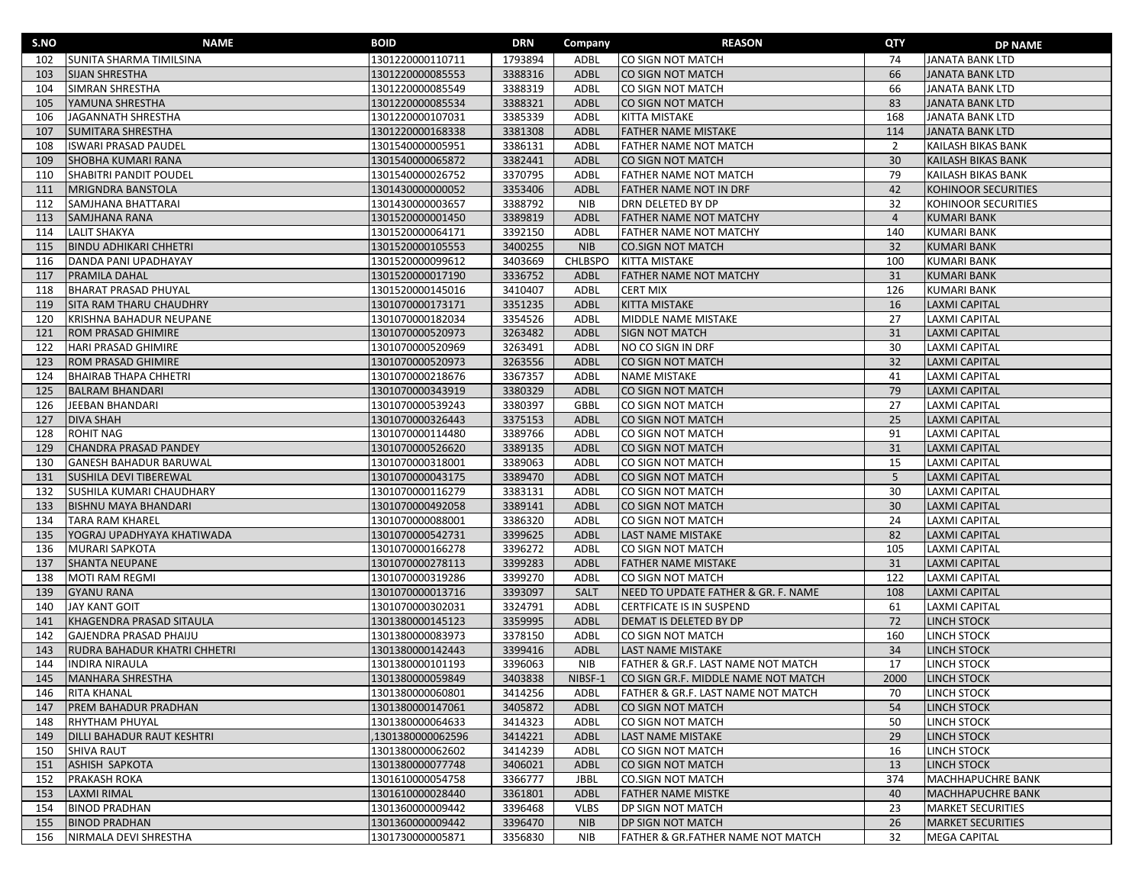| S.NO | <b>NAME</b>                       | <b>BOID</b>      | <b>DRN</b> | Company        | <b>REASON</b>                       | QTY            | <b>DP NAME</b>            |
|------|-----------------------------------|------------------|------------|----------------|-------------------------------------|----------------|---------------------------|
| 102  | SUNITA SHARMA TIMILSINA           | 1301220000110711 | 1793894    | ADBL           | CO SIGN NOT MATCH                   | 74             | <b>JANATA BANK LTD</b>    |
| 103  | <b>SIJAN SHRESTHA</b>             | 1301220000085553 | 3388316    | <b>ADBL</b>    | CO SIGN NOT MATCH                   | 66             | <b>JANATA BANK LTD</b>    |
| 104  | SIMRAN SHRESTHA                   | 1301220000085549 | 3388319    | ADBL           | CO SIGN NOT MATCH                   | 66             | JANATA BANK LTD           |
| 105  | YAMUNA SHRESTHA                   | 1301220000085534 | 3388321    | <b>ADBL</b>    | CO SIGN NOT MATCH                   | 83             | <b>JANATA BANK LTD</b>    |
| 106  | JAGANNATH SHRESTHA                | 1301220000107031 | 3385339    | ADBL           | <b>KITTA MISTAKE</b>                | 168            | JANATA BANK LTD           |
| 107  | <b>SUMITARA SHRESTHA</b>          | 1301220000168338 | 3381308    | <b>ADBL</b>    | <b>FATHER NAME MISTAKE</b>          | 114            | <b>JANATA BANK LTD</b>    |
| 108  | <b>ISWARI PRASAD PAUDEL</b>       | 1301540000005951 | 3386131    | ADBL           | <b>FATHER NAME NOT MATCH</b>        | 2              | <b>KAILASH BIKAS BANK</b> |
| 109  | SHOBHA KUMARI RANA                | 1301540000065872 | 3382441    | ADBL           | CO SIGN NOT MATCH                   | 30             | KAILASH BIKAS BANK        |
| 110  | SHABITRI PANDIT POUDEL            | 1301540000026752 | 3370795    | ADBL           | FATHER NAME NOT MATCH               | 79             | KAILASH BIKAS BANK        |
| 111  | <b>MRIGNDRA BANSTOLA</b>          | 1301430000000052 | 3353406    | <b>ADBL</b>    | <b>FATHER NAME NOT IN DRF</b>       | 42             | KOHINOOR SECURITIES       |
| 112  | SAMJHANA BHATTARAI                | 1301430000003657 | 3388792    | <b>NIB</b>     | DRN DELETED BY DP                   | 32             | KOHINOOR SECURITIES       |
| 113  | SAMJHANA RANA                     | 1301520000001450 | 3389819    | <b>ADBL</b>    | <b>FATHER NAME NOT MATCHY</b>       | $\overline{4}$ | <b>KUMARI BANK</b>        |
| 114  | <b>LALIT SHAKYA</b>               | 1301520000064171 | 3392150    | ADBL           | <b>FATHER NAME NOT MATCHY</b>       | 140            | <b>KUMARI BANK</b>        |
| 115  | <b>BINDU ADHIKARI CHHETRI</b>     | 1301520000105553 | 3400255    | <b>NIB</b>     | <b>CO.SIGN NOT MATCH</b>            | 32             | <b>KUMARI BANK</b>        |
| 116  | DANDA PANI UPADHAYAY              | 1301520000099612 | 3403669    | <b>CHLBSPO</b> | <b>KITTA MISTAKE</b>                | 100            | <b>KUMARI BANK</b>        |
| 117  | <b>PRAMILA DAHAL</b>              | 1301520000017190 | 3336752    | ADBL           | <b>FATHER NAME NOT MATCHY</b>       | 31             | <b>KUMARI BANK</b>        |
| 118  | <b>BHARAT PRASAD PHUYAL</b>       | 1301520000145016 | 3410407    | ADBL           | <b>CERT MIX</b>                     | 126            | <b>KUMARI BANK</b>        |
| 119  | SITA RAM THARU CHAUDHRY           | 1301070000173171 | 3351235    | ADBL           | <b>KITTA MISTAKE</b>                | 16             | <b>LAXMI CAPITAL</b>      |
| 120  | KRISHNA BAHADUR NEUPANE           | 1301070000182034 | 3354526    | ADBL           | MIDDLE NAME MISTAKE                 | 27             | <b>LAXMI CAPITAL</b>      |
| 121  | ROM PRASAD GHIMIRE                | 1301070000520973 | 3263482    | <b>ADBL</b>    | <b>SIGN NOT MATCH</b>               | 31             | <b>LAXMI CAPITAL</b>      |
| 122  | HARI PRASAD GHIMIRE               | 1301070000520969 | 3263491    | ADBL           | NO CO SIGN IN DRF                   | 30             | <b>LAXMI CAPITAL</b>      |
| 123  | ROM PRASAD GHIMIRE                | 1301070000520973 | 3263556    | <b>ADBL</b>    | CO SIGN NOT MATCH                   | 32             | <b>LAXMI CAPITAL</b>      |
| 124  | <b>BHAIRAB THAPA CHHETRI</b>      | 1301070000218676 | 3367357    | ADBL           | <b>NAME MISTAKE</b>                 | 41             | <b>LAXMI CAPITAL</b>      |
| 125  | <b>BALRAM BHANDARI</b>            | 1301070000343919 | 3380329    | <b>ADBL</b>    | CO SIGN NOT MATCH                   | 79             | <b>LAXMI CAPITAL</b>      |
| 126  | JEEBAN BHANDARI                   | 1301070000539243 | 3380397    | GBBL           | CO SIGN NOT MATCH                   | 27             | <b>LAXMI CAPITAL</b>      |
| 127  | <b>DIVA SHAH</b>                  | 1301070000326443 | 3375153    | <b>ADBL</b>    | CO SIGN NOT MATCH                   | 25             | <b>LAXMI CAPITAL</b>      |
| 128  | <b>ROHIT NAG</b>                  | 1301070000114480 | 3389766    | ADBL           | CO SIGN NOT MATCH                   | 91             | <b>LAXMI CAPITAL</b>      |
| 129  | <b>CHANDRA PRASAD PANDEY</b>      | 1301070000526620 | 3389135    | <b>ADBL</b>    | CO SIGN NOT MATCH                   | 31             | <b>LAXMI CAPITAL</b>      |
| 130  | <b>GANESH BAHADUR BARUWAL</b>     | 1301070000318001 | 3389063    | ADBL           | CO SIGN NOT MATCH                   | 15             | <b>LAXMI CAPITAL</b>      |
| 131  | SUSHILA DEVI TIBEREWAL            | 1301070000043175 | 3389470    | <b>ADBL</b>    | CO SIGN NOT MATCH                   | 5              | <b>LAXMI CAPITAL</b>      |
| 132  | SUSHILA KUMARI CHAUDHARY          | 1301070000116279 | 3383131    | ADBL           | CO SIGN NOT MATCH                   | 30             | <b>LAXMI CAPITAL</b>      |
| 133  | <b>BISHNU MAYA BHANDARI</b>       | 1301070000492058 | 3389141    | <b>ADBL</b>    | CO SIGN NOT MATCH                   | 30             | <b>LAXMI CAPITAL</b>      |
| 134  | <b>TARA RAM KHAREL</b>            | 1301070000088001 | 3386320    | ADBL           | CO SIGN NOT MATCH                   | 24             | <b>LAXMI CAPITAL</b>      |
| 135  | YOGRAJ UPADHYAYA KHATIWADA        | 1301070000542731 | 3399625    | <b>ADBL</b>    | <b>LAST NAME MISTAKE</b>            | 82             | <b>LAXMI CAPITAL</b>      |
| 136  | <b>MURARI SAPKOTA</b>             | 1301070000166278 | 3396272    | ADBL           | CO SIGN NOT MATCH                   | 105            | <b>LAXMI CAPITAL</b>      |
| 137  | <b>SHANTA NEUPANE</b>             | 1301070000278113 | 3399283    | <b>ADBL</b>    | <b>FATHER NAME MISTAKE</b>          | 31             | <b>LAXMI CAPITAL</b>      |
| 138  | <b>MOTI RAM REGMI</b>             | 1301070000319286 | 3399270    | ADBL           | CO SIGN NOT MATCH                   | 122            | <b>LAXMI CAPITAL</b>      |
| 139  | <b>GYANU RANA</b>                 | 1301070000013716 | 3393097    | <b>SALT</b>    | NEED TO UPDATE FATHER & GR. F. NAME | 108            | <b>LAXMI CAPITAL</b>      |
| 140  | <b>JAY KANT GOIT</b>              | 1301070000302031 | 3324791    | ADBL           | CERTFICATE IS IN SUSPEND            | 61             | <b>LAXMI CAPITAL</b>      |
| 141  | KHAGENDRA PRASAD SITAULA          | 1301380000145123 | 3359995    | <b>ADBL</b>    | DEMAT IS DELETED BY DP              | 72             | <b>LINCH STOCK</b>        |
| 142  | GAJENDRA PRASAD PHAIJU            | 1301380000083973 | 3378150    | ADBL           | CO SIGN NOT MATCH                   | 160            | LINCH STOCK               |
| 143  | RUDRA BAHADUR KHATRI CHHETRI      | 1301380000142443 | 3399416    | <b>ADBL</b>    | <b>LAST NAME MISTAKE</b>            | 34             | <b>LINCH STOCK</b>        |
| 144  | <b>INDIRA NIRAULA</b>             | 1301380000101193 | 3396063    | <b>NIB</b>     | FATHER & GR.F. LAST NAME NOT MATCH  | 17             | LINCH STOCK               |
| 145  | <b>MANHARA SHRESTHA</b>           | 1301380000059849 | 3403838    | NIBSF-1        | CO SIGN GR.F. MIDDLE NAME NOT MATCH | 2000           | <b>LINCH STOCK</b>        |
| 146  | <b>RITA KHANAL</b>                | 1301380000060801 | 3414256    | ADBL           | FATHER & GR.F. LAST NAME NOT MATCH  | 70             | LINCH STOCK               |
| 147  | <b>PREM BAHADUR PRADHAN</b>       | 1301380000147061 | 3405872    | ADBL           | CO SIGN NOT MATCH                   | 54             | <b>LINCH STOCK</b>        |
| 148  | <b>RHYTHAM PHUYAL</b>             | 1301380000064633 | 3414323    | ADBL           | CO SIGN NOT MATCH                   | 50             | LINCH STOCK               |
| 149  | <b>DILLI BAHADUR RAUT KESHTRI</b> | 1301380000062596 | 3414221    | <b>ADBL</b>    | <b>LAST NAME MISTAKE</b>            | 29             | <b>LINCH STOCK</b>        |
| 150  | <b>SHIVA RAUT</b>                 | 1301380000062602 | 3414239    | ADBL           | CO SIGN NOT MATCH                   | 16             | LINCH STOCK               |
| 151  | ASHISH SAPKOTA                    | 1301380000077748 | 3406021    | ADBL           | CO SIGN NOT MATCH                   | 13             | <b>LINCH STOCK</b>        |
| 152  | PRAKASH ROKA                      | 1301610000054758 | 3366777    | <b>JBBL</b>    | <b>CO.SIGN NOT MATCH</b>            | 374            | <b>MACHHAPUCHRE BANK</b>  |
| 153  | <b>LAXMI RIMAL</b>                | 1301610000028440 | 3361801    | <b>ADBL</b>    | <b>FATHER NAME MISTKE</b>           | 40             | <b>MACHHAPUCHRE BANK</b>  |
| 154  | <b>BINOD PRADHAN</b>              | 1301360000009442 | 3396468    | <b>VLBS</b>    | <b>DP SIGN NOT MATCH</b>            | 23             | <b>MARKET SECURITIES</b>  |
| 155  | <b>BINOD PRADHAN</b>              | 1301360000009442 | 3396470    | <b>NIB</b>     | <b>DP SIGN NOT MATCH</b>            | 26             | MARKET SECURITIES         |
| 156  | NIRMALA DEVI SHRESTHA             | 1301730000005871 | 3356830    | <b>NIB</b>     | FATHER & GR.FATHER NAME NOT MATCH   | 32             | <b>MEGA CAPITAL</b>       |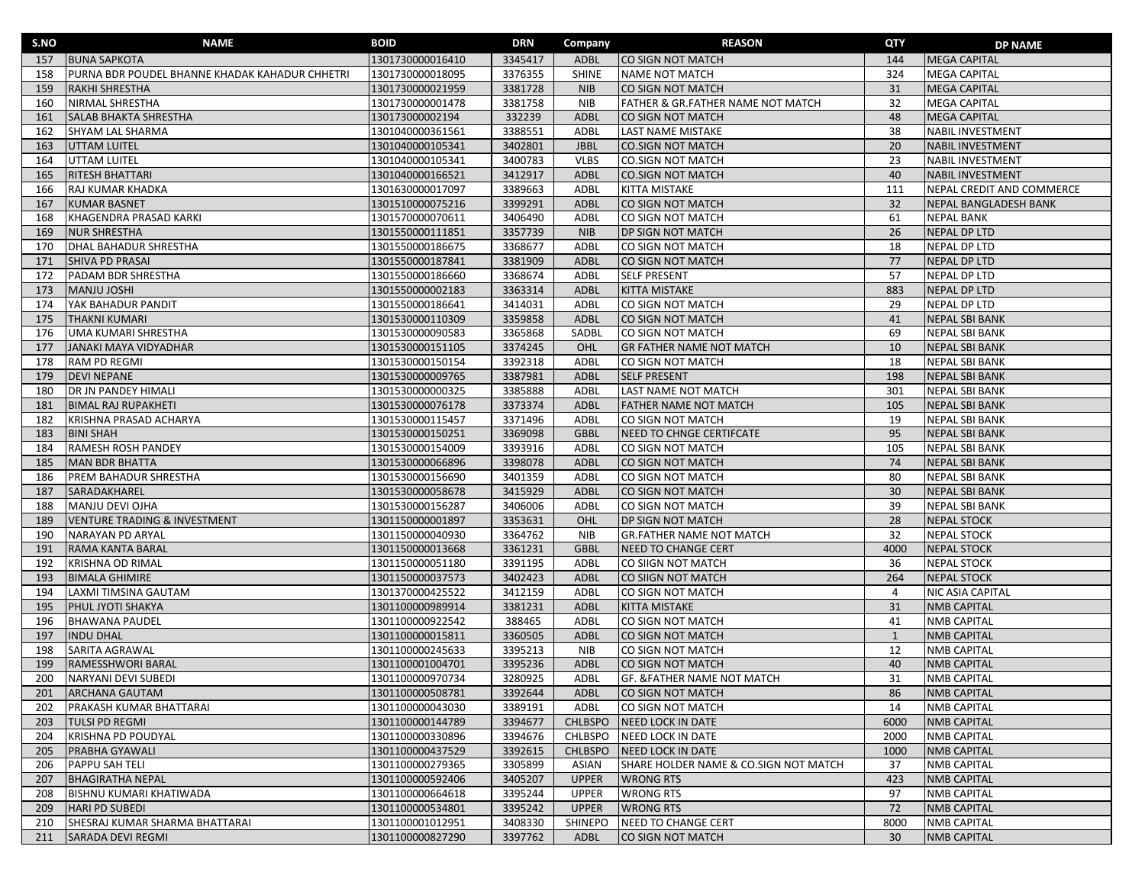| S.NO | <b>NAME</b>                                    | <b>BOID</b>      | <b>DRN</b> | Company        | <b>REASON</b>                         | QTY          | <b>DP NAME</b>            |
|------|------------------------------------------------|------------------|------------|----------------|---------------------------------------|--------------|---------------------------|
| 157  | <b>BUNA SAPKOTA</b>                            | 1301730000016410 | 3345417    | ADBL           | CO SIGN NOT MATCH                     | 144          | <b>MEGA CAPITAL</b>       |
| 158  | PURNA BDR POUDEL BHANNE KHADAK KAHADUR CHHETRI | 1301730000018095 | 3376355    | <b>SHINE</b>   | <b>NAME NOT MATCH</b>                 | 324          | <b>MEGA CAPITAL</b>       |
| 159  | <b>RAKHI SHRESTHA</b>                          | 1301730000021959 | 3381728    | <b>NIB</b>     | <b>CO SIGN NOT MATCH</b>              | 31           | <b>MEGA CAPITAL</b>       |
| 160  | NIRMAL SHRESTHA                                | 1301730000001478 | 3381758    | <b>NIB</b>     | FATHER & GR.FATHER NAME NOT MATCH     | 32           | <b>MEGA CAPITAL</b>       |
| 161  | <b>SALAB BHAKTA SHRESTHA</b>                   | 130173000002194  | 332239     | <b>ADBL</b>    | CO SIGN NOT MATCH                     | 48           | <b>MEGA CAPITAL</b>       |
| 162  | <b>SHYAM LAL SHARMA</b>                        | 1301040000361561 | 3388551    | ADBL           | <b>LAST NAME MISTAKE</b>              | 38           | <b>NABIL INVESTMENT</b>   |
| 163  | UTTAM LUITEL                                   | 1301040000105341 | 3402801    | <b>JBBL</b>    | <b>CO.SIGN NOT MATCH</b>              | 20           | <b>NABIL INVESTMENT</b>   |
| 164  | UTTAM LUITEL                                   | 1301040000105341 | 3400783    | <b>VLBS</b>    | <b>CO.SIGN NOT MATCH</b>              | 23           | <b>NABIL INVESTMENT</b>   |
| 165  | <b>RITESH BHATTARI</b>                         | 1301040000166521 | 3412917    | <b>ADBL</b>    | <b>CO.SIGN NOT MATCH</b>              | 40           | <b>NABIL INVESTMENT</b>   |
| 166  | RAJ KUMAR KHADKA                               | 1301630000017097 | 3389663    | ADBL           | KITTA MISTAKE                         | 111          | NEPAL CREDIT AND COMMERCE |
| 167  | <b>KUMAR BASNET</b>                            | 1301510000075216 | 3399291    | <b>ADBL</b>    | CO SIGN NOT MATCH                     | 32           | NEPAL BANGLADESH BANK     |
| 168  | KHAGENDRA PRASAD KARKI                         | 1301570000070611 | 3406490    | ADBL           | CO SIGN NOT MATCH                     | 61           | <b>NEPAL BANK</b>         |
| 169  | <b>NUR SHRESTHA</b>                            | 1301550000111851 | 3357739    | <b>NIB</b>     | <b>DP SIGN NOT MATCH</b>              | 26           | <b>NEPAL DP LTD</b>       |
| 170  | DHAL BAHADUR SHRESTHA                          | 1301550000186675 | 3368677    | ADBL           | CO SIGN NOT MATCH                     | 18           | <b>NEPAL DP LTD</b>       |
| 171  | SHIVA PD PRASAI                                | 1301550000187841 | 3381909    | <b>ADBL</b>    | CO SIGN NOT MATCH                     | 77           | <b>NEPAL DP LTD</b>       |
| 172  | PADAM BDR SHRESTHA                             | 1301550000186660 | 3368674    | ADBL           | <b>SELF PRESENT</b>                   | 57           | NEPAL DP LTD              |
| 173  | <b>MANJU JOSHI</b>                             | 1301550000002183 | 3363314    | <b>ADBL</b>    | <b>KITTA MISTAKE</b>                  | 883          | <b>NEPAL DP LTD</b>       |
| 174  | YAK BAHADUR PANDIT                             | 1301550000186641 | 3414031    | ADBL           | CO SIGN NOT MATCH                     | 29           | <b>NEPAL DP LTD</b>       |
| 175  | <b>THAKNI KUMARI</b>                           | 1301530000110309 | 3359858    | <b>ADBL</b>    | CO SIGN NOT MATCH                     | 41           | <b>NEPAL SBI BANK</b>     |
| 176  | <b>UMA KUMARI SHRESTHA</b>                     | 1301530000090583 | 3365868    | SADBL          | CO SIGN NOT MATCH                     | 69           | <b>NEPAL SBI BANK</b>     |
| 177  | <b>JANAKI MAYA VIDYADHAR</b>                   | 1301530000151105 | 3374245    | OHL            | <b>GR FATHER NAME NOT MATCH</b>       | 10           | <b>NEPAL SBI BANK</b>     |
| 178  | <b>RAM PD REGMI</b>                            | 1301530000150154 | 3392318    | ADBL           | CO SIGN NOT MATCH                     | 18           | <b>NEPAL SBI BANK</b>     |
| 179  | <b>DEVI NEPANE</b>                             | 1301530000009765 | 3387981    | <b>ADBL</b>    | <b>SELF PRESENT</b>                   | 198          | <b>NEPAL SBI BANK</b>     |
| 180  | <b>DR JN PANDEY HIMALI</b>                     | 1301530000000325 | 3385888    | ADBL           | <b>LAST NAME NOT MATCH</b>            | 301          | <b>NEPAL SBI BANK</b>     |
| 181  | <b>BIMAL RAJ RUPAKHETI</b>                     | 1301530000076178 | 3373374    | <b>ADBL</b>    | <b>FATHER NAME NOT MATCH</b>          | 105          | <b>NEPAL SBI BANK</b>     |
| 182  | KRISHNA PRASAD ACHARYA                         | 1301530000115457 | 3371496    | ADBL           | CO SIGN NOT MATCH                     | 19           | <b>NEPAL SBI BANK</b>     |
| 183  | <b>BINI SHAH</b>                               | 1301530000150251 | 3369098    | <b>GBBL</b>    | NEED TO CHNGE CERTIFCATE              | 95           | <b>NEPAL SBI BANK</b>     |
| 184  | <b>RAMESH ROSH PANDEY</b>                      | 1301530000154009 | 3393916    | ADBL           | CO SIGN NOT MATCH                     | 105          | <b>NEPAL SBI BANK</b>     |
| 185  | <b>MAN BDR BHATTA</b>                          | 1301530000066896 | 3398078    | <b>ADBL</b>    | CO SIGN NOT MATCH                     | 74           | <b>NEPAL SBI BANK</b>     |
| 186  | <b>PREM BAHADUR SHRESTHA</b>                   | 1301530000156690 | 3401359    | ADBL           | CO SIGN NOT MATCH                     | 80           | <b>NEPAL SBI BANK</b>     |
| 187  | SARADAKHAREL                                   | 1301530000058678 | 3415929    | <b>ADBL</b>    | CO SIGN NOT MATCH                     | 30           | <b>NEPAL SBI BANK</b>     |
| 188  | MANJU DEVI OJHA                                | 1301530000156287 | 3406006    | ADBL           | CO SIGN NOT MATCH                     | 39           | <b>NEPAL SBI BANK</b>     |
| 189  | <b>VENTURE TRADING &amp; INVESTMENT</b>        | 1301150000001897 | 3353631    | OHL            | <b>DP SIGN NOT MATCH</b>              | 28           | <b>NEPAL STOCK</b>        |
| 190  | NARAYAN PD ARYAL                               | 1301150000040930 | 3364762    | <b>NIB</b>     | <b>GR.FATHER NAME NOT MATCH</b>       | 32           | <b>NEPAL STOCK</b>        |
| 191  | RAMA KANTA BARAL                               | 1301150000013668 | 3361231    | GBBL           | <b>NEED TO CHANGE CERT</b>            | 4000         | <b>NEPAL STOCK</b>        |
| 192  | <b>KRISHNA OD RIMAL</b>                        | 1301150000051180 | 3391195    | ADBL           | CO SIIGN NOT MATCH                    | 36           | <b>NEPAL STOCK</b>        |
| 193  | <b>BIMALA GHIMIRE</b>                          | 1301150000037573 | 3402423    | <b>ADBL</b>    | CO SIIGN NOT MATCH                    | 264          | <b>NEPAL STOCK</b>        |
| 194  | LAXMI TIMSINA GAUTAM                           | 1301370000425522 | 3412159    | ADBL           | CO SIGN NOT MATCH                     | 4            | NIC ASIA CAPITAL          |
| 195  | PHUL JYOTI SHAKYA                              | 1301100000989914 | 3381231    | <b>ADBL</b>    | <b>KITTA MISTAKE</b>                  | 31           | <b>NMB CAPITAL</b>        |
| 196  | <b>BHAWANA PAUDEL</b>                          | 1301100000922542 | 388465     | ADBL           | CO SIGN NOT MATCH                     | 41           | <b>NMB CAPITAL</b>        |
| 197  | <b>INDU DHAL</b>                               | 1301100000015811 | 3360505    | <b>ADBL</b>    | CO SIGN NOT MATCH                     | $\mathbf{1}$ | <b>NMB CAPITAL</b>        |
| 198  | SARITA AGRAWAL                                 | 1301100000245633 | 3395213    | <b>NIB</b>     | CO SIGN NOT MATCH                     | 12           | <b>NMB CAPITAL</b>        |
| 199  | RAMESSHWORI BARAL                              | 1301100001004701 | 3395236    | <b>ADBL</b>    | CO SIGN NOT MATCH                     | 40           | <b>NMB CAPITAL</b>        |
| 200  | NARYANI DEVI SUBEDI                            | 1301100000970734 | 3280925    | ADBL           | GF. &FATHER NAME NOT MATCH            | 31           | <b>NMB CAPITAL</b>        |
| 201  | <b>ARCHANA GAUTAM</b>                          | 1301100000508781 | 3392644    | ADBL           | CO SIGN NOT MATCH                     | 86           | <b>NMB CAPITAL</b>        |
| 202  | PRAKASH KUMAR BHATTARAI                        | 1301100000043030 | 3389191    | ADBL           | CO SIGN NOT MATCH                     | 14           | <b>NMB CAPITAL</b>        |
| 203  | <b>TULSI PD REGMI</b>                          | 1301100000144789 | 3394677    | <b>CHLBSPO</b> | NEED LOCK IN DATE                     | 6000         | <b>NMB CAPITAL</b>        |
| 204  | <b>KRISHNA PD POUDYAL</b>                      | 1301100000330896 | 3394676    | CHLBSPO        | NEED LOCK IN DATE                     | 2000         | <b>NMB CAPITAL</b>        |
| 205  | <b>PRABHA GYAWALI</b>                          | 1301100000437529 | 3392615    | <b>CHLBSPO</b> | NEED LOCK IN DATE                     | 1000         | <b>NMB CAPITAL</b>        |
| 206  | PAPPU SAH TELI                                 | 1301100000279365 | 3305899    | ASIAN          | SHARE HOLDER NAME & CO.SIGN NOT MATCH | 37           | <b>NMB CAPITAL</b>        |
| 207  | <b>BHAGIRATHA NEPAL</b>                        | 1301100000592406 | 3405207    | <b>UPPER</b>   | <b>WRONG RTS</b>                      | 423          | <b>NMB CAPITAL</b>        |
| 208  | BISHNU KUMARI KHATIWADA                        | 1301100000664618 | 3395244    | <b>UPPER</b>   | <b>WRONG RTS</b>                      | 97           | <b>NMB CAPITAL</b>        |
| 209  | <b>HARI PD SUBEDI</b>                          | 1301100000534801 | 3395242    | <b>UPPER</b>   | <b>WRONG RTS</b>                      | 72           | <b>NMB CAPITAL</b>        |
| 210  | SHESRAJ KUMAR SHARMA BHATTARAI                 | 1301100001012951 | 3408330    | <b>SHINEPO</b> | NEED TO CHANGE CERT                   | 8000         | <b>NMB CAPITAL</b>        |
| 211  | <b>SARADA DEVI REGMI</b>                       | 1301100000827290 | 3397762    | ADBL           | CO SIGN NOT MATCH                     | 30           | <b>NMB CAPITAL</b>        |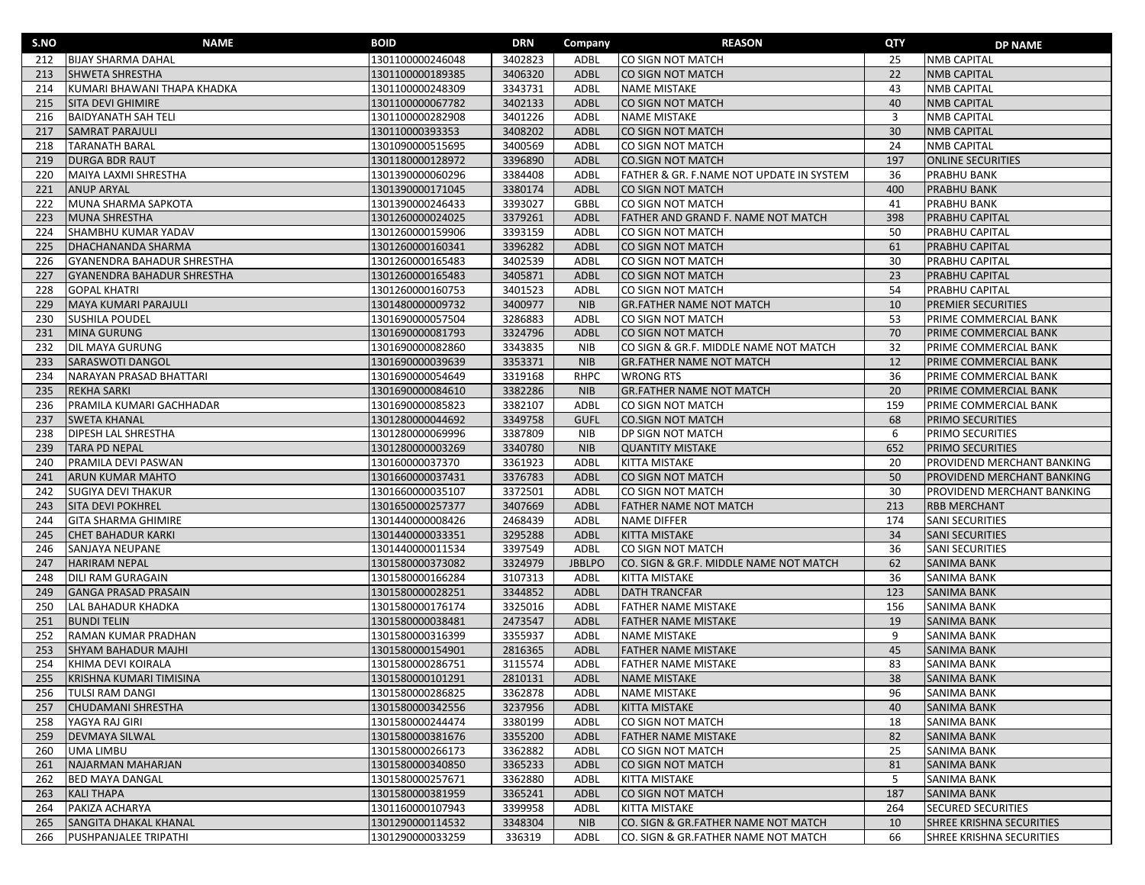| S.NO | <b>NAME</b>                       | <b>BOID</b>      | <b>DRN</b> | Company       | <b>REASON</b>                            | QTY | <b>DP NAME</b>             |
|------|-----------------------------------|------------------|------------|---------------|------------------------------------------|-----|----------------------------|
| 212  | <b>BIJAY SHARMA DAHAL</b>         | 1301100000246048 | 3402823    | ADBL          | CO SIGN NOT MATCH                        | 25  | <b>NMB CAPITAL</b>         |
| 213  | SHWETA SHRESTHA                   | 1301100000189385 | 3406320    | <b>ADBL</b>   | CO SIGN NOT MATCH                        | 22  | <b>NMB CAPITAL</b>         |
| 214  | KUMARI BHAWANI THAPA KHADKA       | 1301100000248309 | 3343731    | ADBL          | <b>NAME MISTAKE</b>                      | 43  | <b>NMB CAPITAL</b>         |
| 215  | <b>SITA DEVI GHIMIRE</b>          | 1301100000067782 | 3402133    | <b>ADBL</b>   | CO SIGN NOT MATCH                        | 40  | <b>NMB CAPITAL</b>         |
| 216  | <b>BAIDYANATH SAH TELI</b>        | 1301100000282908 | 3401226    | ADBL          | NAME MISTAKE                             | 3   | <b>NMB CAPITAL</b>         |
| 217  | <b>SAMRAT PARAJULI</b>            | 130110000393353  | 3408202    | ADBL          | CO SIGN NOT MATCH                        | 30  | <b>NMB CAPITAL</b>         |
| 218  | <b>TARANATH BARAL</b>             | 1301090000515695 | 3400569    | ADBL          | CO SIGN NOT MATCH                        | 24  | <b>NMB CAPITAL</b>         |
| 219  | <b>DURGA BDR RAUT</b>             | 1301180000128972 | 3396890    | <b>ADBL</b>   | <b>CO.SIGN NOT MATCH</b>                 | 197 | <b>ONLINE SECURITIES</b>   |
| 220  | MAIYA LAXMI SHRESTHA              | 1301390000060296 | 3384408    | ADBL          | FATHER & GR. F.NAME NOT UPDATE IN SYSTEM | 36  | PRABHU BANK                |
| 221  | <b>ANUP ARYAL</b>                 | 1301390000171045 | 3380174    | <b>ADBL</b>   | CO SIGN NOT MATCH                        | 400 | <b>PRABHU BANK</b>         |
| 222  | MUNA SHARMA SAPKOTA               | 1301390000246433 | 3393027    | <b>GBBL</b>   | CO SIGN NOT MATCH                        | 41  | PRABHU BANK                |
| 223  | <b>MUNA SHRESTHA</b>              | 1301260000024025 | 3379261    | <b>ADBL</b>   | FATHER AND GRAND F. NAME NOT MATCH       | 398 | PRABHU CAPITAL             |
| 224  | SHAMBHU KUMAR YADAV               | 1301260000159906 | 3393159    | ADBL          | CO SIGN NOT MATCH                        | 50  | PRABHU CAPITAL             |
| 225  | DHACHANANDA SHARMA                | 1301260000160341 | 3396282    | <b>ADBL</b>   | CO SIGN NOT MATCH                        | 61  | PRABHU CAPITAL             |
| 226  | <b>GYANENDRA BAHADUR SHRESTHA</b> | 1301260000165483 | 3402539    | ADBL          | CO SIGN NOT MATCH                        | 30  | PRABHU CAPITAL             |
| 227  | <b>GYANENDRA BAHADUR SHRESTHA</b> | 1301260000165483 | 3405871    | <b>ADBL</b>   | CO SIGN NOT MATCH                        | 23  | <b>PRABHU CAPITAL</b>      |
| 228  | <b>GOPAL KHATRI</b>               | 1301260000160753 | 3401523    | ADBL          | CO SIGN NOT MATCH                        | 54  | PRABHU CAPITAL             |
| 229  | MAYA KUMARI PARAJULI              | 1301480000009732 | 3400977    | <b>NIB</b>    | <b>GR.FATHER NAME NOT MATCH</b>          | 10  | <b>PREMIER SECURITIES</b>  |
| 230  | <b>SUSHILA POUDEL</b>             | 1301690000057504 | 3286883    | ADBL          | CO SIGN NOT MATCH                        | 53  | PRIME COMMERCIAL BANK      |
| 231  | MINA GURUNG                       | 1301690000081793 | 3324796    | <b>ADBL</b>   | CO SIGN NOT MATCH                        | 70  | PRIME COMMERCIAL BANK      |
| 232  | DIL MAYA GURUNG                   | 1301690000082860 | 3343835    | <b>NIB</b>    | CO SIGN & GR.F. MIDDLE NAME NOT MATCH    | 32  | PRIME COMMERCIAL BANK      |
| 233  | <b>SARASWOTI DANGOL</b>           | 1301690000039639 | 3353371    | <b>NIB</b>    | <b>GR.FATHER NAME NOT MATCH</b>          | 12  | PRIME COMMERCIAL BANK      |
| 234  | NARAYAN PRASAD BHATTARI           | 1301690000054649 | 3319168    | <b>RHPC</b>   | <b>WRONG RTS</b>                         | 36  | PRIME COMMERCIAL BANK      |
| 235  | <b>REKHA SARKI</b>                | 1301690000084610 | 3382286    | <b>NIB</b>    | <b>GR.FATHER NAME NOT MATCH</b>          | 20  | PRIME COMMERCIAL BANK      |
| 236  | PRAMILA KUMARI GACHHADAR          | 1301690000085823 | 3382107    | <b>ADBL</b>   | CO SIGN NOT MATCH                        | 159 | PRIME COMMERCIAL BANK      |
| 237  | <b>SWETA KHANAL</b>               | 1301280000044692 | 3349758    | <b>GUFL</b>   | <b>CO.SIGN NOT MATCH</b>                 | 68  | PRIMO SECURITIES           |
| 238  | DIPESH LAL SHRESTHA               | 1301280000069996 | 3387809    | <b>NIB</b>    | DP SIGN NOT MATCH                        | 6   | PRIMO SECURITIES           |
| 239  | <b>TARA PD NEPAL</b>              | 1301280000003269 | 3340780    | <b>NIB</b>    | <b>QUANTITY MISTAKE</b>                  | 652 | PRIMO SECURITIES           |
| 240  | PRAMILA DEVI PASWAN               | 130160000037370  | 3361923    | <b>ADBL</b>   | KITTA MISTAKE                            | 20  | PROVIDEND MERCHANT BANKING |
| 241  | ARUN KUMAR MAHTO                  | 1301660000037431 | 3376783    | <b>ADBL</b>   | CO SIGN NOT MATCH                        | 50  | PROVIDEND MERCHANT BANKING |
| 242  | <b>SUGIYA DEVI THAKUR</b>         | 1301660000035107 | 3372501    | ADBL          | CO SIGN NOT MATCH                        | 30  | PROVIDEND MERCHANT BANKING |
| 243  | <b>SITA DEVI POKHREL</b>          | 1301650000257377 | 3407669    | <b>ADBL</b>   | <b>FATHER NAME NOT MATCH</b>             | 213 | <b>RBB MERCHANT</b>        |
| 244  | <b>GITA SHARMA GHIMIRE</b>        | 1301440000008426 | 2468439    | ADBL          | NAME DIFFER                              | 174 | SANI SECURITIES            |
| 245  | <b>CHET BAHADUR KARKI</b>         | 1301440000033351 | 3295288    | ADBL          | <b>KITTA MISTAKE</b>                     | 34  | <b>SANI SECURITIES</b>     |
| 246  | SANJAYA NEUPANE                   | 1301440000011534 | 3397549    | <b>ADBL</b>   | CO SIGN NOT MATCH                        | 36  | <b>SANI SECURITIES</b>     |
| 247  | HARIRAM NEPAL                     | 1301580000373082 | 3324979    | <b>JBBLPO</b> | CO. SIGN & GR.F. MIDDLE NAME NOT MATCH   | 62  | <b>SANIMA BANK</b>         |
| 248  | <b>DILI RAM GURAGAIN</b>          | 1301580000166284 | 3107313    | ADBL          | KITTA MISTAKE                            | 36  | <b>SANIMA BANK</b>         |
| 249  | <b>GANGA PRASAD PRASAIN</b>       | 1301580000028251 | 3344852    | <b>ADBL</b>   | <b>DATH TRANCFAR</b>                     | 123 | SANIMA BANK                |
| 250  | LAL BAHADUR KHADKA                | 1301580000176174 | 3325016    | ADBL          | FATHER NAME MISTAKE                      | 156 | SANIMA BANK                |
| 251  | <b>BUNDI TELIN</b>                | 1301580000038481 | 2473547    | ADBL          | FATHER NAME MISTAKE                      | 19  | <b>SANIMA BANK</b>         |
| 252  | RAMAN KUMAR PRADHAN               | 1301580000316399 | 3355937    | ADBL          | <b>NAME MISTAKE</b>                      | 9   | <b>SANIMA BANK</b>         |
| 253  | <b>SHYAM BAHADUR MAJHI</b>        | 1301580000154901 | 2816365    | ADBL          | <b>FATHER NAME MISTAKE</b>               | 45  | <b>SANIMA BANK</b>         |
| 254  | KHIMA DEVI KOIRALA                | 1301580000286751 | 3115574    | ADBL          | <b>FATHER NAME MISTAKE</b>               | 83  | <b>SANIMA BANK</b>         |
| 255  | KRISHNA KUMARI TIMISINA           | 1301580000101291 | 2810131    | ADBL          | <b>NAME MISTAKE</b>                      | 38  | <b>SANIMA BANK</b>         |
| 256  | <b>TULSI RAM DANGI</b>            | 1301580000286825 | 3362878    | ADBL          | <b>NAME MISTAKE</b>                      | 96  | SANIMA BANK                |
| 257  | <b>CHUDAMANI SHRESTHA</b>         | 1301580000342556 | 3237956    | ADBL          | <b>KITTA MISTAKE</b>                     | 40  | <b>SANIMA BANK</b>         |
| 258  | YAGYA RAJ GIRI                    | 1301580000244474 | 3380199    | ADBL          | CO SIGN NOT MATCH                        | 18  | <b>SANIMA BANK</b>         |
| 259  | <b>DEVMAYA SILWAL</b>             | 1301580000381676 | 3355200    | <b>ADBL</b>   | FATHER NAME MISTAKE                      | 82  | <b>SANIMA BANK</b>         |
| 260  | <b>UMA LIMBU</b>                  | 1301580000266173 | 3362882    | ADBL          | CO SIGN NOT MATCH                        | 25  | <b>SANIMA BANK</b>         |
| 261  | NAJARMAN MAHARJAN                 | 1301580000340850 | 3365233    | ADBL          | CO SIGN NOT MATCH                        | 81  | <b>SANIMA BANK</b>         |
| 262  | <b>BED MAYA DANGAL</b>            | 1301580000257671 | 3362880    | <b>ADBL</b>   | KITTA MISTAKE                            | 5   | <b>SANIMA BANK</b>         |
| 263  | <b>KALI THAPA</b>                 | 1301580000381959 | 3365241    | ADBL          | CO SIGN NOT MATCH                        | 187 | <b>SANIMA BANK</b>         |
| 264  | PAKIZA ACHARYA                    | 1301160000107943 | 3399958    | ADBL          | KITTA MISTAKE                            | 264 | <b>SECURED SECURITIES</b>  |
| 265  | SANGITA DHAKAL KHANAL             | 1301290000114532 | 3348304    | <b>NIB</b>    | CO. SIGN & GR.FATHER NAME NOT MATCH      | 10  | SHREE KRISHNA SECURITIES   |
| 266  | <b>PUSHPANJALEE TRIPATHI</b>      | 1301290000033259 | 336319     | ADBL          | CO. SIGN & GR.FATHER NAME NOT MATCH      | 66  | SHREE KRISHNA SECURITIES   |